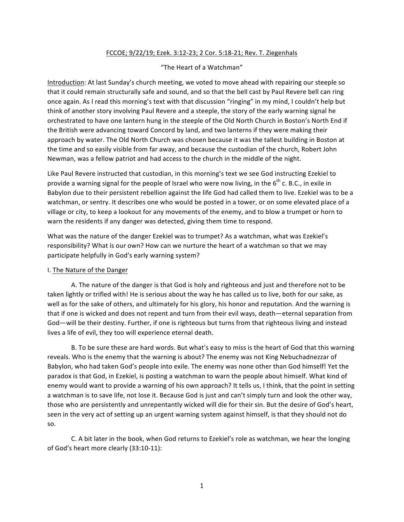# FCCOE; 9/22/19; Ezek. 3:12-23; 2 Cor. 5:18-21; Rev. T. Ziegenhals

### "The Heart of a Watchman"

Introduction: At last Sunday's church meeting, we voted to move ahead with repairing our steeple so that it could remain structurally safe and sound, and so that the bell cast by Paul Revere bell can ring once again. As I read this morning's text with that discussion "ringing" in my mind, I couldn't help but think of another story involving Paul Revere and a steeple, the story of the early warning signal he orchestrated to have one lantern hung in the steeple of the Old North Church in Boston's North End if the British were advancing toward Concord by land, and two lanterns if they were making their approach by water. The Old North Church was chosen because it was the tallest building in Boston at the time and so easily visible from far away, and because the custodian of the church, Robert John Newman, was a fellow patriot and had access to the church in the middle of the night.

Like Paul Revere instructed that custodian, in this morning's text we see God instructing Ezekiel to provide a warning signal for the people of Israel who were now living, in the  $6^{th}$  c. B.C., in exile in Babylon due to their persistent rebellion against the life God had called them to live. Ezekiel was to be a watchman, or sentry. It describes one who would be posted in a tower, or on some elevated place of a village or city, to keep a lookout for any movements of the enemy, and to blow a trumpet or horn to warn the residents if any danger was detected, giving them time to respond.

What was the nature of the danger Ezekiel was to trumpet? As a watchman, what was Ezekiel's responsibility? What is our own? How can we nurture the heart of a watchman so that we may participate helpfully in God's early warning system?

### I. The Nature of the Danger

A. The nature of the danger is that God is holy and righteous and just and therefore not to be taken lightly or trifled with! He is serious about the way he has called us to live, both for our sake, as well as for the sake of others, and ultimately for his glory, his honor and reputation. And the warning is that if one is wicked and does not repent and turn from their evil ways, death—eternal separation from God—will be their destiny. Further, if one is righteous but turns from that righteous living and instead lives a life of evil, they too will experience eternal death.

B. To be sure these are hard words. But what's easy to miss is the heart of God that this warning reveals. Who is the enemy that the warning is about? The enemy was not King Nebuchadnezzar of Babylon, who had taken God's people into exile. The enemy was none other than God himself! Yet the paradox is that God, in Ezekiel, is posting a watchman to warn the people about himself. What kind of enemy would want to provide a warning of his own approach? It tells us, I think, that the point in setting a watchman is to save life, not lose it. Because God is just and can't simply turn and look the other way, those who are persistently and unrepentantly wicked will die for their sin. But the desire of God's heart, seen in the very act of setting up an urgent warning system against himself, is that they should not do so. 

C. A bit later in the book, when God returns to Ezekiel's role as watchman, we hear the longing of God's heart more clearly (33:10-11):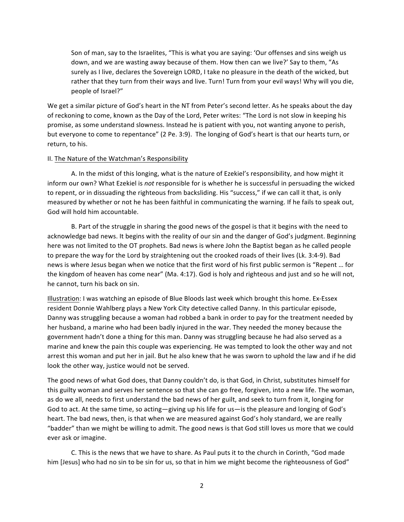Son of man, say to the Israelites, "This is what you are saying: 'Our offenses and sins weigh us down, and we are wasting away because of them. How then can we live?' Say to them, "As surely as I live, declares the Sovereign LORD, I take no pleasure in the death of the wicked, but rather that they turn from their ways and live. Turn! Turn from your evil ways! Why will you die, people of Israel?"

We get a similar picture of God's heart in the NT from Peter's second letter. As he speaks about the day of reckoning to come, known as the Day of the Lord, Peter writes: "The Lord is not slow in keeping his promise, as some understand slowness. Instead he is patient with you, not wanting anyone to perish, but everyone to come to repentance" (2 Pe. 3:9). The longing of God's heart is that our hearts turn, or return, to his.

#### II. The Nature of the Watchman's Responsibility

A. In the midst of this longing, what is the nature of Ezekiel's responsibility, and how might it inform our own? What Ezekiel is *not* responsible for is whether he is successful in persuading the wicked to repent, or in dissuading the righteous from backsliding. His "success," if we can call it that, is only measured by whether or not he has been faithful in communicating the warning. If he fails to speak out, God will hold him accountable.

B. Part of the struggle in sharing the good news of the gospel is that it begins with the need to acknowledge bad news. It begins with the reality of our sin and the danger of God's judgment. Beginning here was not limited to the OT prophets. Bad news is where John the Baptist began as he called people to prepare the way for the Lord by straightening out the crooked roads of their lives (Lk. 3:4-9). Bad news is where Jesus began when we notice that the first word of his first public sermon is "Repent ... for the kingdom of heaven has come near" (Ma. 4:17). God is holy and righteous and just and so he will not, he cannot, turn his back on sin.

Illustration: I was watching an episode of Blue Bloods last week which brought this home. Ex-Essex resident Donnie Wahlberg plays a New York City detective called Danny. In this particular episode, Danny was struggling because a woman had robbed a bank in order to pay for the treatment needed by her husband, a marine who had been badly injured in the war. They needed the money because the government hadn't done a thing for this man. Danny was struggling because he had also served as a marine and knew the pain this couple was experiencing. He was tempted to look the other way and not arrest this woman and put her in jail. But he also knew that he was sworn to uphold the law and if he did look the other way, justice would not be served.

The good news of what God does, that Danny couldn't do, is that God, in Christ, substitutes himself for this guilty woman and serves her sentence so that she can go free, forgiven, into a new life. The woman, as do we all, needs to first understand the bad news of her guilt, and seek to turn from it, longing for God to act. At the same time, so acting-giving up his life for us-is the pleasure and longing of God's heart. The bad news, then, is that when we are measured against God's holy standard, we are really "badder" than we might be willing to admit. The good news is that God still loves us more that we could ever ask or imagine.

C. This is the news that we have to share. As Paul puts it to the church in Corinth, "God made him [Jesus] who had no sin to be sin for us, so that in him we might become the righteousness of God"